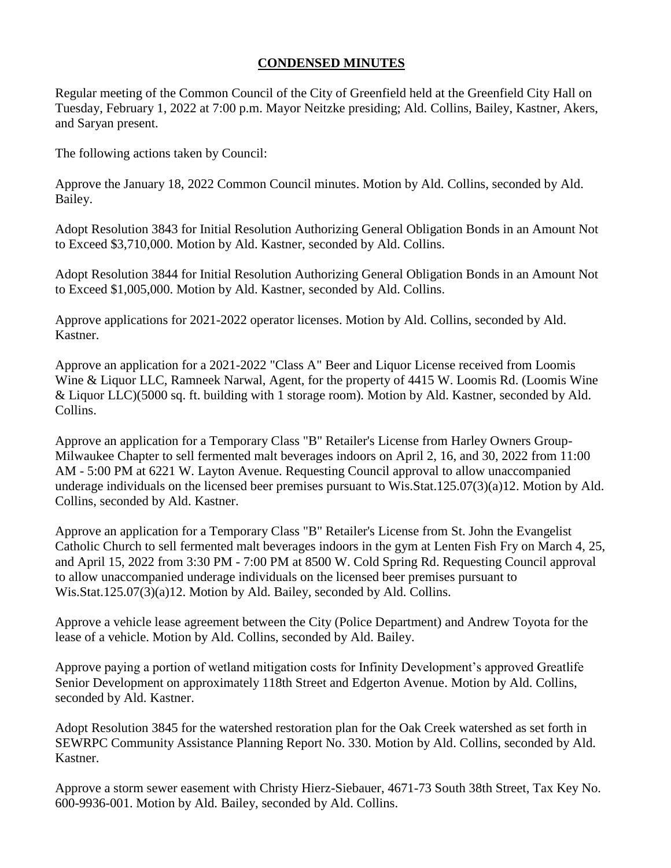## **CONDENSED MINUTES**

Regular meeting of the Common Council of the City of Greenfield held at the Greenfield City Hall on Tuesday, February 1, 2022 at 7:00 p.m. Mayor Neitzke presiding; Ald. Collins, Bailey, Kastner, Akers, and Saryan present.

The following actions taken by Council:

Approve the January 18, 2022 Common Council minutes. Motion by Ald. Collins, seconded by Ald. Bailey.

Adopt Resolution 3843 for Initial Resolution Authorizing General Obligation Bonds in an Amount Not to Exceed \$3,710,000. Motion by Ald. Kastner, seconded by Ald. Collins.

Adopt Resolution 3844 for Initial Resolution Authorizing General Obligation Bonds in an Amount Not to Exceed \$1,005,000. Motion by Ald. Kastner, seconded by Ald. Collins.

Approve applications for 2021-2022 operator licenses. Motion by Ald. Collins, seconded by Ald. Kastner.

Approve an application for a 2021-2022 "Class A" Beer and Liquor License received from Loomis Wine & Liquor LLC, Ramneek Narwal, Agent, for the property of 4415 W. Loomis Rd. (Loomis Wine & Liquor LLC)(5000 sq. ft. building with 1 storage room). Motion by Ald. Kastner, seconded by Ald. Collins.

Approve an application for a Temporary Class "B" Retailer's License from Harley Owners Group-Milwaukee Chapter to sell fermented malt beverages indoors on April 2, 16, and 30, 2022 from 11:00 AM - 5:00 PM at 6221 W. Layton Avenue. Requesting Council approval to allow unaccompanied underage individuals on the licensed beer premises pursuant to Wis.Stat.125.07(3)(a)12. Motion by Ald. Collins, seconded by Ald. Kastner.

Approve an application for a Temporary Class "B" Retailer's License from St. John the Evangelist Catholic Church to sell fermented malt beverages indoors in the gym at Lenten Fish Fry on March 4, 25, and April 15, 2022 from 3:30 PM - 7:00 PM at 8500 W. Cold Spring Rd. Requesting Council approval to allow unaccompanied underage individuals on the licensed beer premises pursuant to Wis.Stat.125.07(3)(a)12. Motion by Ald. Bailey, seconded by Ald. Collins.

Approve a vehicle lease agreement between the City (Police Department) and Andrew Toyota for the lease of a vehicle. Motion by Ald. Collins, seconded by Ald. Bailey.

Approve paying a portion of wetland mitigation costs for Infinity Development's approved Greatlife Senior Development on approximately 118th Street and Edgerton Avenue. Motion by Ald. Collins, seconded by Ald. Kastner.

Adopt Resolution 3845 for the watershed restoration plan for the Oak Creek watershed as set forth in SEWRPC Community Assistance Planning Report No. 330. Motion by Ald. Collins, seconded by Ald. Kastner.

Approve a storm sewer easement with Christy Hierz-Siebauer, 4671-73 South 38th Street, Tax Key No. 600-9936-001. Motion by Ald. Bailey, seconded by Ald. Collins.